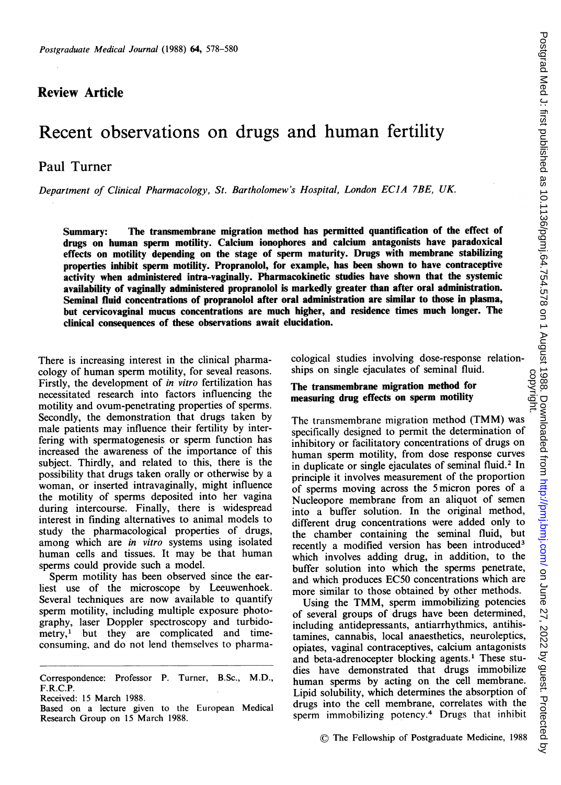# Review Article

# Recent observations on drugs and human fertility

Paul Turner

Department of Clinical Pharmacology, St. Bartholomew's Hospital, London ECIA 7BE, UK.

Summary: The transmembrane migration method has permitted quantification of the effect of drugs on human sperm motility. Calcium ionophores and calcium antagonists have paradoxical effects on motility depending on the stage of sperm maturity. Drugs with membrane stabilizing properties inhibit sperm motility. Propranolol, for example, has been shown to have contraceptive activity when administered intra-vaginally. Pharmacokinetic studies have shown that the systemic availability of vaginally administered propranolol is markedly greater than after oral administration. Seminal fluid concentrations of propranolol after oral administration are similar to those in plasma, but cervicovaginal mucus concentrations are much higher, and residence times much longer. The clinical consequences of these observations await elucidation.

There is increasing interest in the clinical pharmacology of human sperm motility, for seveal reasons. Firstly, the development of in vitro fertilization has necessitated research into factors influencing the motility and ovum-penetrating properties of sperms. Secondly, the demonstration that drugs taken by male patients may influence their fertility by interfering with spermatogenesis or sperm function has increased the awareness of the importance of this subject. Thirdly, and related to this, there is the possibility that drugs taken orally or otherwise by a woman, or inserted intravaginally, might influence the motility of sperms deposited into her vagina during intercourse. Finally, there is widespread interest in finding alternatives to animal models to study the pharmacological properties of drugs, among which are in vitro systems using isolated human cells and tissues. It may be that human sperms could provide such a model.

Sperm motility has been observed since the earliest use of the microscope by Leeuwenhoek. Several techniques are now available to quantify sperm motility, including multiple exposure photography, laser Doppler spectroscopy and turbidometry,<sup>1</sup> but they are complicated and timeconsuming, and do not lend themselves to pharmacological studies involving dose-response relationships on single ejaculates of seminal fluid.

#### The transmembrane migration method for measuring drug effects on sperm motility

The transmembrane migration method (TMM) was specifically designed to permit the determination of inhibitory or facilitatory concentrations of drugs on human sperm motility, from dose response curves in duplicate or single ejaculates of seminal fluid.<sup>2</sup> In principle it involves measurement of the proportion of sperms moving across the 5micron pores of a Nucleopore membrane from an aliquot of semen into a buffer solution. In the original method, different drug concentrations were added only to the chamber containing the seminal fluid, but recently a modified version has been introduced3 which involves adding drug, in addition, to the buffer solution into which the sperms penetrate, and which produces EC50 concentrations which are more similar to those obtained by other methods.

Using the TMM, sperm immobilizing potencies of several groups of drugs have been determined, including antidepressants, antiarrhythmics, antihistamines, cannabis, local anaesthetics, neuroleptics, opiates, vaginal contraceptives, calcium antagonists and beta-adrenocepter blocking agents.' These studies have demonstrated that drugs immobilize human sperms by acting on the cell membrane. Lipid solubility, which determines the absorption of drugs into the cell membrane, correlates with the sperm immobilizing potency.4 Drugs that inhibit

Correspondence: Professor P. Turner, B.Sc., M.D., F.R.C.P.

Received: 15 March 1988.

Based on a lecture given to the European Medical Research Group on 15 March 1988.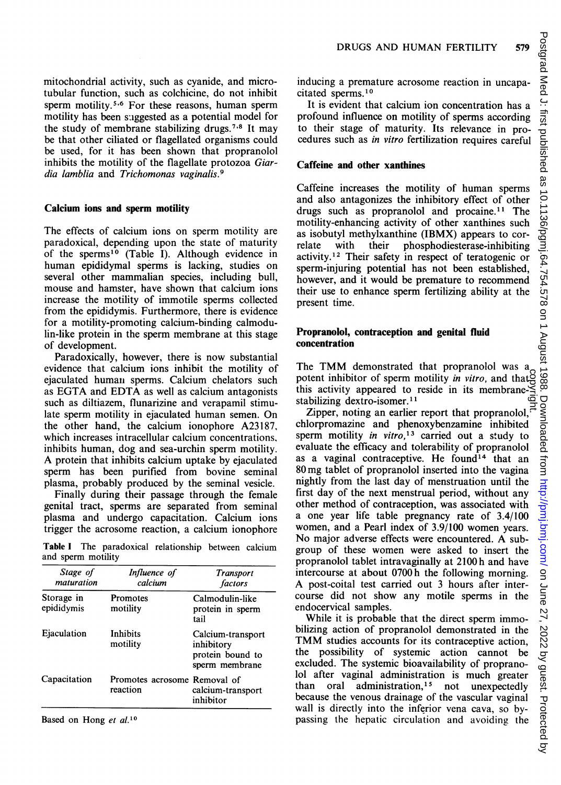mitochondrial activity, such as cyanide, and microtubular function, such as colchicine, do not inhibit sperm motility.<sup>5,6</sup> For these reasons, human sperm motility has been suggested as a potential model for the study of membrane stabilizing drugs.<sup>7,8</sup> It may be that other ciliated or flagellated organisms could be used, for it has been shown that propranolol inhibits the motility of the flagellate protozoa Giardia lamblia and Trichomonas vaginalis.<sup>9</sup>

# Calcium ions and sperm motility

The effects of calcium ions on sperm motility are paradoxical, depending upon the state of maturity of the sperms<sup>10</sup> (Table I). Although evidence in human epididymal sperms is lacking, studies on several other mammalian species, including bull, mouse and hamster, have shown that calcium ions increase the motility of immotile sperms collected from the epididymis. Furthermore, there is evidence for a motility-promoting calcium-binding calmodulin-like protein in the sperm membrane at this stage of development.

Paradoxically, however, there is now substantial evidence that calcium ions inhibit the motility of ejaculated human sperms. Calcium chelators such as EGTA and EDTA as well as calcium antagonists such as diltiazem, flunarizine and verapamil stimulate sperm motility in ejaculated human semen. On the other hand, the calcium ionophore A23187, which increases intracellular calcium concentrations, inhibits human, dog and sea-urchin sperm motility. A protein that inhibits calcium uptake by ejaculated sperm has been purified from bovine seminal plasma, probably produced by the seminal vesicle.

Finally during their passage through the female genital tract, sperms are separated from seminal plasma and undergo capacitation. Calcium ions trigger the acrosome reaction, a calcium ionophore

Table <sup>I</sup> The paradoxical relationship between calcium and sperm motility

| Stage of<br>maturation   | Influence of<br>calcium                  | <b>Transport</b><br>factors                                           |
|--------------------------|------------------------------------------|-----------------------------------------------------------------------|
| Storage in<br>epididymis | <b>Promotes</b><br>motility              | Calmodulin-like<br>protein in sperm<br>tail                           |
| Ejaculation              | <b>Inhibits</b><br>motility              | Calcium-transport<br>inhibitory<br>protein bound to<br>sperm membrane |
| Capacitation             | Promotes acrosome Removal of<br>reaction | calcium-transport<br>inhibitor                                        |

Based on Hong et al.<sup>10</sup>

inducing <sup>a</sup> premature acrosome reaction in uncapacitated sperms.<sup>10</sup>

It is evident that calcium ion concentration has a profound influence on motility of sperms according to their stage of maturity. Its relevance in pro cedures such as in vitro fertilization requires careful

#### Caffeine and other xanthines

Caffeine increases the motility of human sperms and also antagonizes the inhibitory effect of other drugs such as propranolol and procaine.<sup>11</sup> The motility-enhancing activity of other xanthines such as isobutyl methylxanthine (IBMX) appears to cor-<br>relate with their phosphodiesterase-inhibiting phosphodiesterase-inhibiting activity.12 Their safety in respect of teratogenic or sperm-injuring potential has not been established, however, and it would be premature to recommend their use to enhance sperm fertilizing ability at the present time.

#### Propranolol, contraception and genital fluid concentration

The TMM demonstrated that propranolol was <sup>a</sup> potent inhibitor of sperm motility in vitro, and that $\frac{S}{S}$ this activity appeared to reside in its membrane- $\leq$  stabilizing dextro-isomer.<sup>11</sup> stabilizing dextro-isomer." copyright.

Zipper, noting an earlier report that propranolol, chlorpromazine and phenoxybenzamine inhibited sperm motility in vitro,<sup>13</sup> carried out a study to evaluate the efficacy and tolerability of propranolol as <sup>a</sup> vaginal contraceptive. He found'4 that an 80 mg tablet of propranolol inserted into the vagina nightly from the last day of menstruation until the first day of the next menstrual period, without any other method of contraception, was associated with a one year life table pregnancy rate of 3.4/100 women, and <sup>a</sup> Pearl index of 3.9/100 women years. No major adverse effects were encountered. A subgroup of these women were asked to insert the propranolol tablet intravaginally at 2100h and have intercourse at about 0700h the following morning. A post-coital test carried out <sup>3</sup> hours after intercourse did not show any motile sperms in the endocervical samples.

While it is probable that the direct sperm immobilizing action of propranolol demonstrated in the TMM studies accounts for its contraceptive action, the possibility of systemic action cannot be excluded. The systemic bioavailability of propranolol after vaginal administration is much greater than oral administration,<sup>15</sup> not unexpectedly because the venous drainage of the vascular vaginal wall is directly into the inferior vena cava, so by passing the hepatic circulation and avoiding the